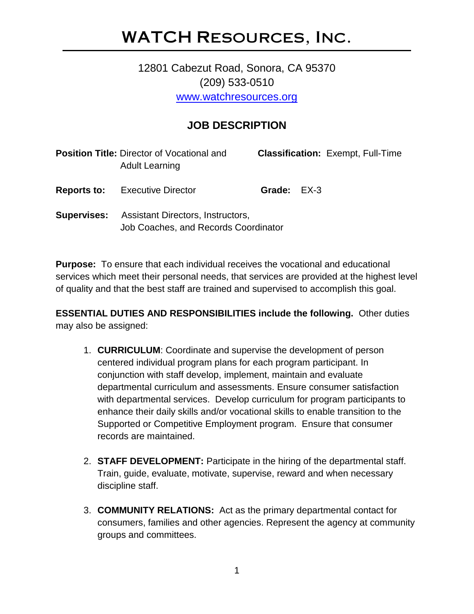## WATCH Resources, Inc.

## 12801 Cabezut Road, Sonora, CA 95370 (209) 533-0510 [www.watchresources.org](http://www.watchresources.org/)

## **JOB DESCRIPTION**

|                    | <b>Position Title: Director of Vocational and </b><br><b>Adult Learning</b> |             | <b>Classification: Exempt, Full-Time</b> |
|--------------------|-----------------------------------------------------------------------------|-------------|------------------------------------------|
| <b>Reports to:</b> | <b>Executive Director</b>                                                   | Grade: EX-3 |                                          |
| <b>Supervises:</b> | Assistant Directors, Instructors,<br>Job Coaches, and Records Coordinator   |             |                                          |

**Purpose:** To ensure that each individual receives the vocational and educational services which meet their personal needs, that services are provided at the highest level of quality and that the best staff are trained and supervised to accomplish this goal.

**ESSENTIAL DUTIES AND RESPONSIBILITIES include the following.** Other duties may also be assigned:

- 1. **CURRICULUM**: Coordinate and supervise the development of person centered individual program plans for each program participant. In conjunction with staff develop, implement, maintain and evaluate departmental curriculum and assessments. Ensure consumer satisfaction with departmental services. Develop curriculum for program participants to enhance their daily skills and/or vocational skills to enable transition to the Supported or Competitive Employment program. Ensure that consumer records are maintained.
- 2. **STAFF DEVELOPMENT:** Participate in the hiring of the departmental staff. Train, guide, evaluate, motivate, supervise, reward and when necessary discipline staff.
- 3. **COMMUNITY RELATIONS:** Act as the primary departmental contact for consumers, families and other agencies. Represent the agency at community groups and committees.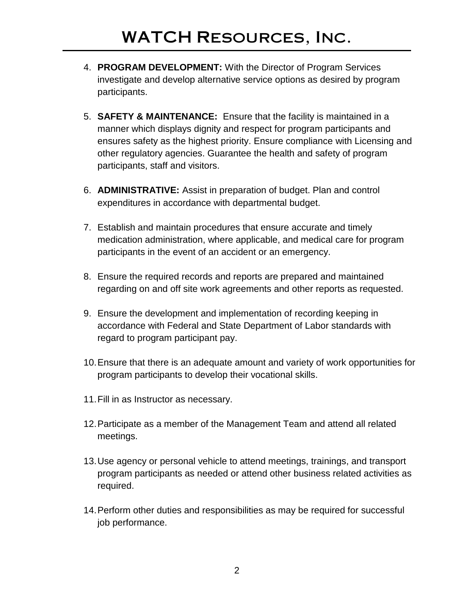- 4. **PROGRAM DEVELOPMENT:** With the Director of Program Services investigate and develop alternative service options as desired by program participants.
- 5. **SAFETY & MAINTENANCE:** Ensure that the facility is maintained in a manner which displays dignity and respect for program participants and ensures safety as the highest priority. Ensure compliance with Licensing and other regulatory agencies. Guarantee the health and safety of program participants, staff and visitors.
- 6. **ADMINISTRATIVE:** Assist in preparation of budget. Plan and control expenditures in accordance with departmental budget.
- 7. Establish and maintain procedures that ensure accurate and timely medication administration, where applicable, and medical care for program participants in the event of an accident or an emergency.
- 8. Ensure the required records and reports are prepared and maintained regarding on and off site work agreements and other reports as requested.
- 9. Ensure the development and implementation of recording keeping in accordance with Federal and State Department of Labor standards with regard to program participant pay.
- 10.Ensure that there is an adequate amount and variety of work opportunities for program participants to develop their vocational skills.
- 11.Fill in as Instructor as necessary.
- 12.Participate as a member of the Management Team and attend all related meetings.
- 13.Use agency or personal vehicle to attend meetings, trainings, and transport program participants as needed or attend other business related activities as required.
- 14.Perform other duties and responsibilities as may be required for successful job performance.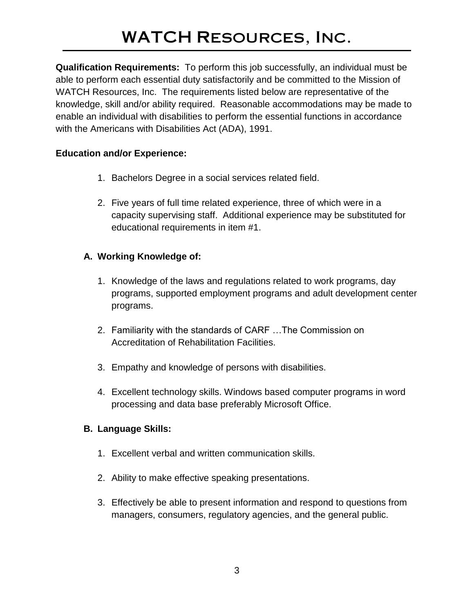**Qualification Requirements:** To perform this job successfully, an individual must be able to perform each essential duty satisfactorily and be committed to the Mission of WATCH Resources, Inc. The requirements listed below are representative of the knowledge, skill and/or ability required. Reasonable accommodations may be made to enable an individual with disabilities to perform the essential functions in accordance with the Americans with Disabilities Act (ADA), 1991.

#### **Education and/or Experience:**

- 1. Bachelors Degree in a social services related field.
- 2. Five years of full time related experience, three of which were in a capacity supervising staff. Additional experience may be substituted for educational requirements in item #1.

#### **A. Working Knowledge of:**

- 1. Knowledge of the laws and regulations related to work programs, day programs, supported employment programs and adult development center programs.
- 2. Familiarity with the standards of CARF …The Commission on Accreditation of Rehabilitation Facilities.
- 3. Empathy and knowledge of persons with disabilities.
- 4. Excellent technology skills. Windows based computer programs in word processing and data base preferably Microsoft Office.

#### **B. Language Skills:**

- 1. Excellent verbal and written communication skills.
- 2. Ability to make effective speaking presentations.
- 3. Effectively be able to present information and respond to questions from managers, consumers, regulatory agencies, and the general public.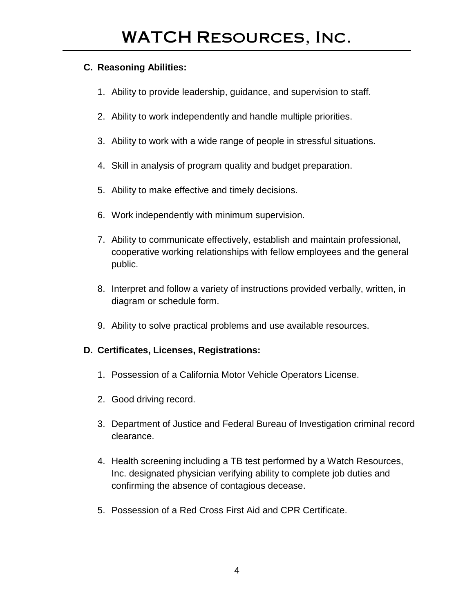#### **C. Reasoning Abilities:**

- 1. Ability to provide leadership, guidance, and supervision to staff.
- 2. Ability to work independently and handle multiple priorities.
- 3. Ability to work with a wide range of people in stressful situations.
- 4. Skill in analysis of program quality and budget preparation.
- 5. Ability to make effective and timely decisions.
- 6. Work independently with minimum supervision.
- 7. Ability to communicate effectively, establish and maintain professional, cooperative working relationships with fellow employees and the general public.
- 8. Interpret and follow a variety of instructions provided verbally, written, in diagram or schedule form.
- 9. Ability to solve practical problems and use available resources.

### **D. Certificates, Licenses, Registrations:**

- 1. Possession of a California Motor Vehicle Operators License.
- 2. Good driving record.
- 3. Department of Justice and Federal Bureau of Investigation criminal record clearance.
- 4. Health screening including a TB test performed by a Watch Resources, Inc. designated physician verifying ability to complete job duties and confirming the absence of contagious decease.
- 5. Possession of a Red Cross First Aid and CPR Certificate.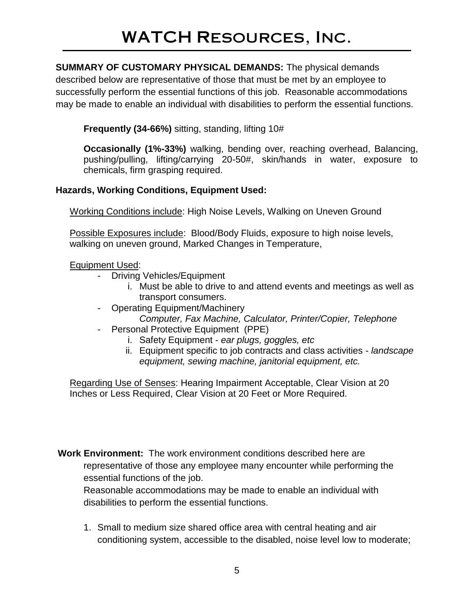**SUMMARY OF CUSTOMARY PHYSICAL DEMANDS:** The physical demands described below are representative of those that must be met by an employee to successfully perform the essential functions of this job. Reasonable accommodations may be made to enable an individual with disabilities to perform the essential functions.

**Frequently (34-66%)** sitting, standing, lifting 10#

**Occasionally (1%-33%)** walking, bending over, reaching overhead, Balancing, pushing/pulling, lifting/carrying 20-50#, skin/hands in water, exposure to chemicals, firm grasping required.

### **Hazards, Working Conditions, Equipment Used:**

Working Conditions include: High Noise Levels, Walking on Uneven Ground

Possible Exposures include: Blood/Body Fluids, exposure to high noise levels, walking on uneven ground, Marked Changes in Temperature,

Equipment Used:

- Driving Vehicles/Equipment
	- i. Must be able to drive to and attend events and meetings as well as transport consumers.
- Operating Equipment/Machinery *Computer, Fax Machine, Calculator, Printer/Copier, Telephone*
- Personal Protective Equipment (PPE)
	- i. Safety Equipment *ear plugs, goggles, etc*
	- ii. Equipment specific to job contracts and class activities *landscape equipment, sewing machine, janitorial equipment, etc.*

Regarding Use of Senses: Hearing Impairment Acceptable, Clear Vision at 20 Inches or Less Required, Clear Vision at 20 Feet or More Required.

**Work Environment:** The work environment conditions described here are representative of those any employee many encounter while performing the essential functions of the job.

Reasonable accommodations may be made to enable an individual with disabilities to perform the essential functions.

1. Small to medium size shared office area with central heating and air conditioning system, accessible to the disabled, noise level low to moderate;